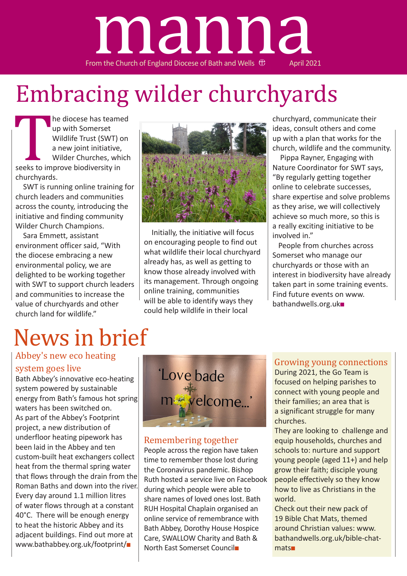

# Embracing wilder churchyards

seeks to im<br>
churchyard<br>
SWT is ru he diocese has teamed up with Somerset Wildlife Trust (SWT) on a new joint initiative, Wilder Churches, which seeks to improve biodiversity in churchyards.

 SWT is running online training for church leaders and communities across the county, introducing the initiative and finding community Wilder Church Champions.

 Sara Emmett, assistant environment officer said, "With the diocese embracing a new environmental policy, we are delighted to be working together with SWT to support church leaders and communities to increase the value of churchyards and other church land for wildlife."

# News in brief

## Abbey's new eco heating

#### system goes live

Bath Abbey's innovative eco-heating system powered by sustainable energy from Bath's famous hot spring waters has been switched on. As part of the Abbey's Footprint project, a new distribution of underfloor heating pipework has been laid in the Abbey and ten custom-built heat exchangers collect heat from the thermal spring water that flows through the drain from the Roman Baths and down into the river. Every day around 1.1 million litres of water flows through at a constant 40°C. There will be enough energy to heat the historic Abbey and its adjacent buildings. Find out more at www.bathabbey.org.uk/footprint/■



 Initially, the initiative will focus on encouraging people to find out what wildlife their local churchyard already has, as well as getting to know those already involved with its management. Through ongoing online training, communities will be able to identify ways they could help wildlife in their local

churchyard, communicate their ideas, consult others and come up with a plan that works for the church, wildlife and the community.

 Pippa Rayner, Engaging with Nature Coordinator for SWT says, "By regularly getting together online to celebrate successes, share expertise and solve problems as they arise, we will collectively achieve so much more, so this is a really exciting initiative to be involved in."

People from churches across Somerset who manage our churchyards or those with an interest in biodiversity have already taken part in some training events. Find future events on www. bathandwells.org.uk■

Love bade me velcome...

#### Remembering together

People across the region have taken time to remember those lost during the Coronavirus pandemic. Bishop Ruth hosted a service live on Facebook during which people were able to share names of loved ones lost. Bath RUH Hospital Chaplain organised an online service of remembrance with Bath Abbey, Dorothy House Hospice Care, SWALLOW Charity and Bath & North East Somerset Council■

### Growing young connections

During 2021, the Go Team is focused on helping parishes to connect with young people and their families; an area that is a significant struggle for many churches.

They are looking to challenge and equip households, churches and schools to: nurture and support young people (aged 11+) and help grow their faith; disciple young people effectively so they know how to live as Christians in the world.

Check out their new pack of 19 Bible Chat Mats, themed around Christian values: www. bathandwells.org.uk/bible-chatmats■